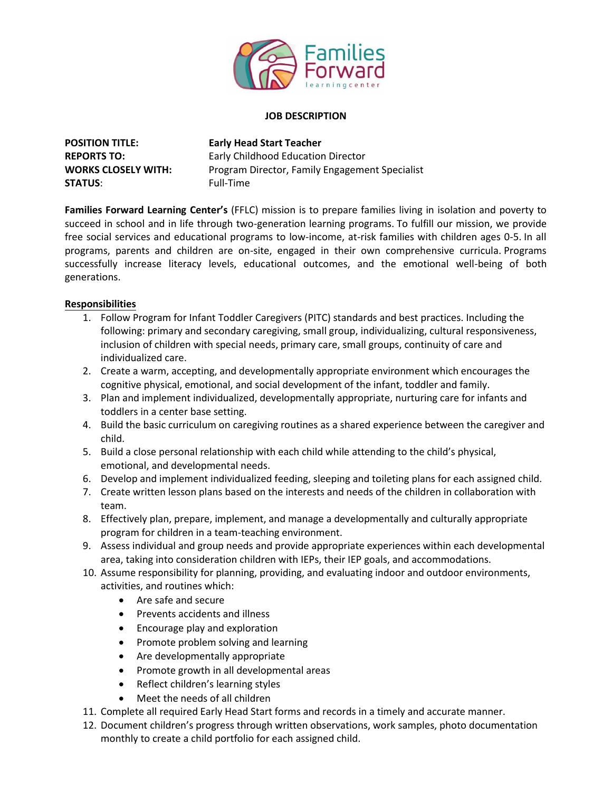

#### **JOB DESCRIPTION**

**POSITION TITLE: Early Head Start Teacher STATUS:** Full-Time

**REPORTS TO:** Early Childhood Education Director **WORKS CLOSELY WITH:** Program Director, Family Engagement Specialist

**Families Forward Learning Center's** (FFLC) mission is to prepare families living in isolation and poverty to succeed in school and in life through two-generation learning programs. To fulfill our mission, we provide free social services and educational programs to low-income, at-risk families with children ages 0-5. In all programs, parents and children are on-site, engaged in their own comprehensive curricula. Programs successfully increase literacy levels, educational outcomes, and the emotional well-being of both generations.

### **Responsibilities**

- 1. Follow Program for Infant Toddler Caregivers (PITC) standards and best practices. Including the following: primary and secondary caregiving, small group, individualizing, cultural responsiveness, inclusion of children with special needs, primary care, small groups, continuity of care and individualized care.
- 2. Create a warm, accepting, and developmentally appropriate environment which encourages the cognitive physical, emotional, and social development of the infant, toddler and family.
- 3. Plan and implement individualized, developmentally appropriate, nurturing care for infants and toddlers in a center base setting.
- 4. Build the basic curriculum on caregiving routines as a shared experience between the caregiver and child.
- 5. Build a close personal relationship with each child while attending to the child's physical, emotional, and developmental needs.
- 6. Develop and implement individualized feeding, sleeping and toileting plans for each assigned child.
- 7. Create written lesson plans based on the interests and needs of the children in collaboration with team.
- 8. Effectively plan, prepare, implement, and manage a developmentally and culturally appropriate program for children in a team-teaching environment.
- 9. Assess individual and group needs and provide appropriate experiences within each developmental area, taking into consideration children with IEPs, their IEP goals, and accommodations.
- 10. Assume responsibility for planning, providing, and evaluating indoor and outdoor environments, activities, and routines which:
	- Are safe and secure
	- Prevents accidents and illness
	- Encourage play and exploration
	- Promote problem solving and learning
	- Are developmentally appropriate
	- Promote growth in all developmental areas
	- Reflect children's learning styles
	- Meet the needs of all children
- 11. Complete all required Early Head Start forms and records in a timely and accurate manner.
- 12. Document children's progress through written observations, work samples, photo documentation monthly to create a child portfolio for each assigned child.